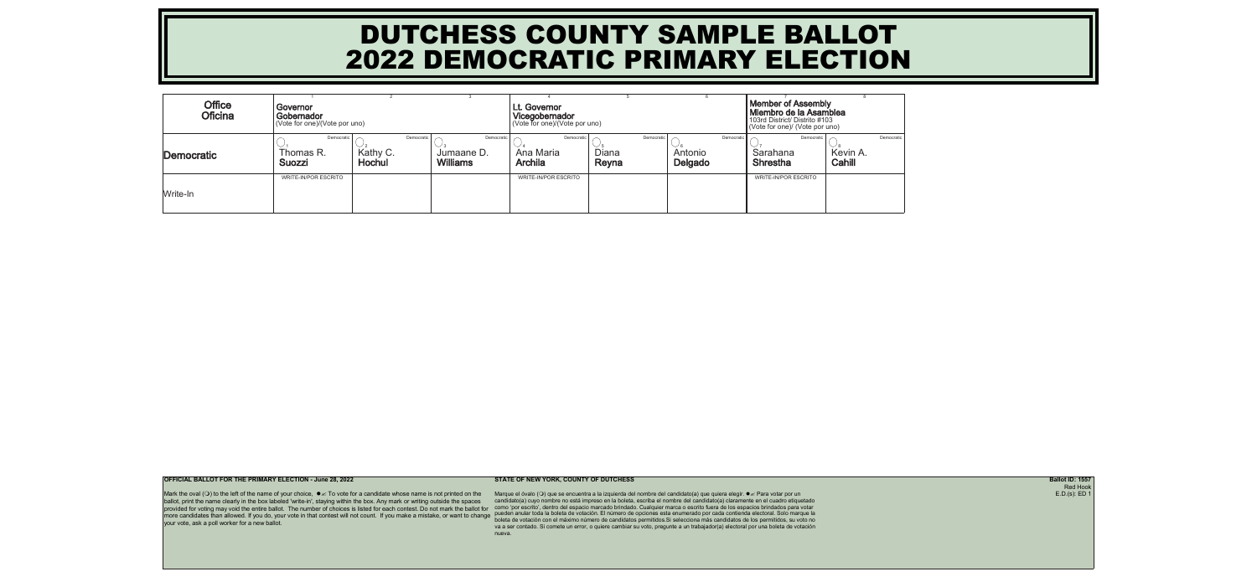| <b>Office</b><br><b>Oficina</b> | Governor<br>Gobernador<br>(Vote for one)/(Vote por uno) |                    |                                                           | <b>Lt. Governor</b><br>Vicegobernador<br>(Vote for one)/(Vote por uno) |                              | <b>Member of Assembly</b><br>Miembro de la Asamblea<br>103rd District/ Distrito #103<br>(Vote for one)/ (Vote por uno) |                                           |                    |            |
|---------------------------------|---------------------------------------------------------|--------------------|-----------------------------------------------------------|------------------------------------------------------------------------|------------------------------|------------------------------------------------------------------------------------------------------------------------|-------------------------------------------|--------------------|------------|
| Democratic                      | Democratic<br>Thomas R.<br><b>Suozzi</b>                | Kathy C.<br>Hochul | Democratic<br>Democratic<br>Jumaane D.<br><b>Williams</b> | Democratic<br>Ana Maria<br><b>Archila</b>                              | Democratio<br>Diana<br>Reyna | Democratic<br>Antonio<br>Delgado                                                                                       | Democratic<br>Sarahana<br><b>Shrestha</b> | Kevin A.<br>Cahill | Democratic |
| Write-In                        | <b>WRITE-IN/POR ESCRITO</b>                             |                    |                                                           | <b>WRITE-IN/POR ESCRITO</b>                                            |                              |                                                                                                                        | <b>WRITE-IN/POR ESCRITO</b>               |                    |            |

Mark the oval ( $\circ$ ) to the left of the name of your choice,  $\bullet \text{K}$  To vote for a candidate whose name is not printed on the ballot, print the name clearly in the box labeled 'write-in', staying within the box. Any mark or writing outside the spaces provided for voting may void the entire ballot. The number of choices is listed for each contest. Do not mark the ballot for more candidates than allowed. If you do, your vote in that contest will not count. If you make a mistake, or want to change pueden anular toda la boleta de votación. El número de opciones esta enumerado por cada contienda your vote, ask a poll worker for a new ballot.

**OFFICIAL BALLOT FOR THE PRIMARY ELECTION - June 28, 2022 STATE OF NEW YORK, COUNTY OF DUTCHESS Ballot ID: 1557**

Marque el óvalo (○) que se encuentra a la izquierda del nombre del candidato(a) que quiera elegir. ● *s* Para votar por un candidato(a) cuyo nombre no está impreso en la boleta, escriba el nombre del candidato(a) claramente en el cuadro etiquetado como 'por escrito', dentro del espacio marcado brindado. Cualquier marca o escrito fuera de los espacios brindados para votar boleta de votación con el máximo número de candidatos permitidos.Si selecciona más candidatos de los permitidos, su voto no va a ser contado. Si comete un error, o quiere cambiar su voto, pregunte a un trabajador(a) electoral por una boleta de votación nueva.

Red Hook E.D.(s): ED 1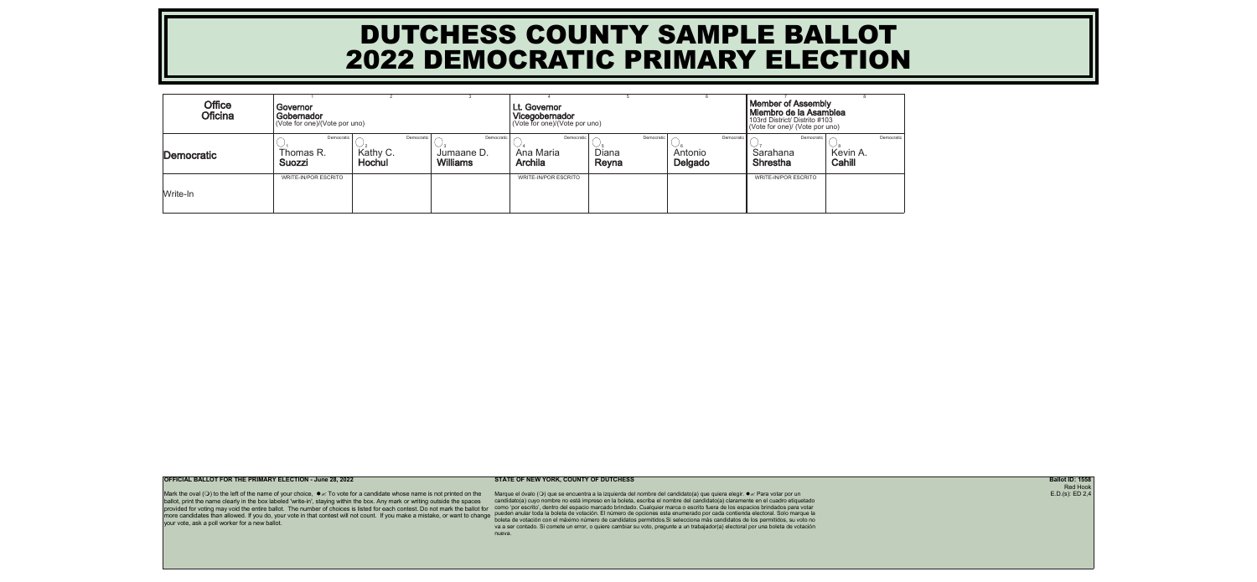| <b>Office</b><br><b>Oficina</b> | Governor<br>Gobernador<br>(Vote for one)/(Vote por uno) |                    |                                                           | Lt. Governor<br>Vicegobernador<br>(Vote for one)/(Vote por uno) |                              | <b>Member of Assembly</b><br>Miembro de la Asamblea<br>103rd District/ Distrito #103<br>(Vote for one)/ (Vote por uno) |                                           |                    |            |
|---------------------------------|---------------------------------------------------------|--------------------|-----------------------------------------------------------|-----------------------------------------------------------------|------------------------------|------------------------------------------------------------------------------------------------------------------------|-------------------------------------------|--------------------|------------|
| Democratic                      | Democratic<br>Thomas R.<br><b>Suozzi</b>                | Kathy C.<br>Hochul | Democratic<br>Democratic<br>Jumaane D.<br><b>Williams</b> | Democratic<br>Ana Maria<br><b>Archila</b>                       | Democratic<br>Diana<br>Reyna | Democratic<br>Antonio<br>Delgado                                                                                       | Democratic<br>Sarahana<br><b>Shrestha</b> | Kevin A.<br>Cahill | Democratic |
| Write-In                        | WRITE-IN/POR ESCRITO                                    |                    |                                                           | <b>WRITE-IN/POR ESCRITO</b>                                     |                              |                                                                                                                        | <b>WRITE-IN/POR ESCRITO</b>               |                    |            |

Mark the oval ( $\circ$ ) to the left of the name of your choice,  $\bullet \text{K}$  To vote for a candidate whose name is not printed on the ballot, print the name clearly in the box labeled 'write-in', staying within the box. Any mark or writing outside the spaces provided for voting may void the entire ballot. The number of choices is listed for each contest. Do not mark the ballot for more candidates than allowed. If you do, your vote in that contest will not count. If you make a mistake, or want to change pueden anular toda la boleta de votación. El número de opciones esta enumerado por cada contienda your vote, ask a poll worker for a new ballot.

**OFFICIAL BALLOT FOR THE PRIMARY ELECTION - June 28, 2022 STATE OF NEW YORK, COUNTY OF DUTCHESS Ballot ID: 1558**

Marque el óvalo (○) que se encuentra a la izquierda del nombre del candidato(a) que quiera elegir. ● *s* Para votar por un candidato(a) cuyo nombre no está impreso en la boleta, escriba el nombre del candidato(a) claramente en el cuadro etiquetado como 'por escrito', dentro del espacio marcado brindado. Cualquier marca o escrito fuera de los espacios brindados para votar boleta de votación con el máximo número de candidatos permitidos.Si selecciona más candidatos de los permitidos, su voto no va a ser contado. Si comete un error, o quiere cambiar su voto, pregunte a un trabajador(a) electoral por una boleta de votación nueva.

Red Hook  $E.D.(s): ED 2,4$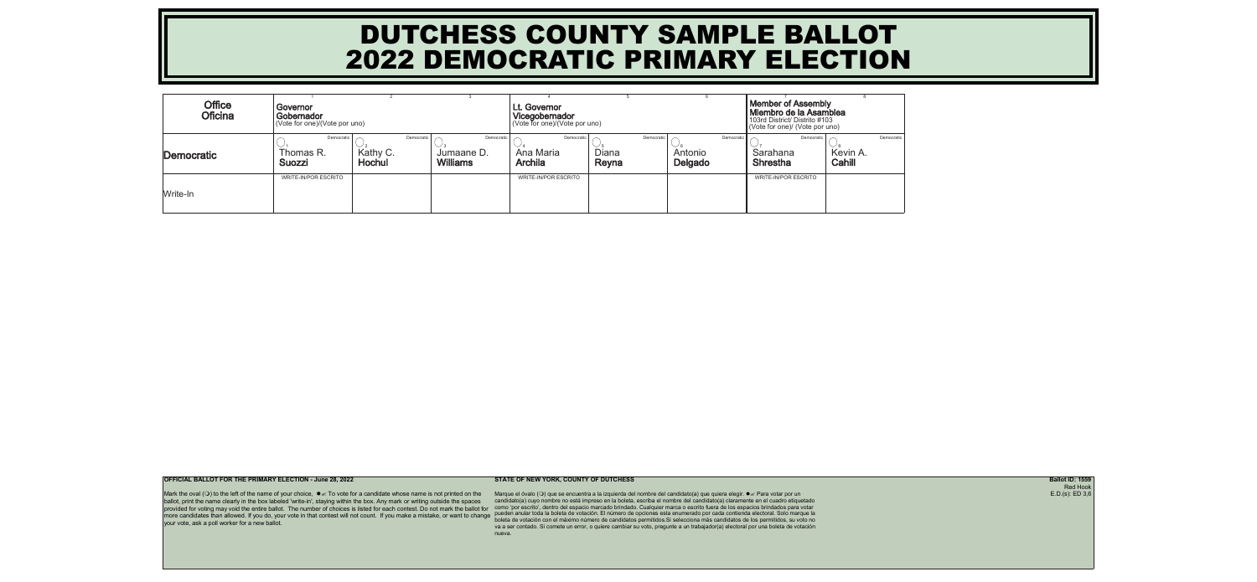| <b>Office</b><br><b>Oficina</b> | Governor<br>Gobernador<br>(Vote for one)/(Vote por uno) |                    |                                                           | Lt. Governor<br>Vicegobernador<br>(Vote for one)/(Vote por uno) |                              | <b>Member of Assembly</b><br>Miembro de la Asamblea<br>103rd District/ Distrito #103<br>(Vote for one)/ (Vote por uno) |                                           |                    |            |
|---------------------------------|---------------------------------------------------------|--------------------|-----------------------------------------------------------|-----------------------------------------------------------------|------------------------------|------------------------------------------------------------------------------------------------------------------------|-------------------------------------------|--------------------|------------|
| Democratic                      | Democratic<br>Thomas R.<br><b>Suozzi</b>                | Kathy C.<br>Hochul | Democratic<br>Democratic<br>Jumaane D.<br><b>Williams</b> | Democratic<br>Ana Maria<br><b>Archila</b>                       | Democratic<br>Diana<br>Reyna | Democratic<br>Antonio<br>Delgado                                                                                       | Democratic<br>Sarahana<br><b>Shrestha</b> | Kevin A.<br>Cahill | Democratic |
| Write-In                        | WRITE-IN/POR ESCRITO                                    |                    |                                                           | <b>WRITE-IN/POR ESCRITO</b>                                     |                              |                                                                                                                        | <b>WRITE-IN/POR ESCRITO</b>               |                    |            |

Mark the oval ( $\circ$ ) to the left of the name of your choice,  $\bullet \text{K}$  To vote for a candidate whose name is not printed on the ballot, print the name clearly in the box labeled 'write-in', staying within the box. Any mark or writing outside the spaces provided for voting may void the entire ballot. The number of choices is listed for each contest. Do not mark the ballot for more candidates than allowed. If you do, your vote in that contest will not count. If you make a mistake, or want to change pueden anular toda la boleta de votación. El número de opciones esta enumerado por cada contienda your vote, ask a poll worker for a new ballot.

**OFFICIAL BALLOT FOR THE PRIMARY ELECTION - June 28, 2022 STATE OF NEW YORK, COUNTY OF DUTCHESS Ballot ID: 1559**

Marque el óvalo (○) que se encuentra a la izquierda del nombre del candidato(a) que quiera elegir. ● *s* Para votar por un candidato(a) cuyo nombre no está impreso en la boleta, escriba el nombre del candidato(a) claramente en el cuadro etiquetado como 'por escrito', dentro del espacio marcado brindado. Cualquier marca o escrito fuera de los espacios brindados para votar boleta de votación con el máximo número de candidatos permitidos.Si selecciona más candidatos de los permitidos, su voto no va a ser contado. Si comete un error, o quiere cambiar su voto, pregunte a un trabajador(a) electoral por una boleta de votación nueva.

Red Hook  $E.D.(s): ED 3,6$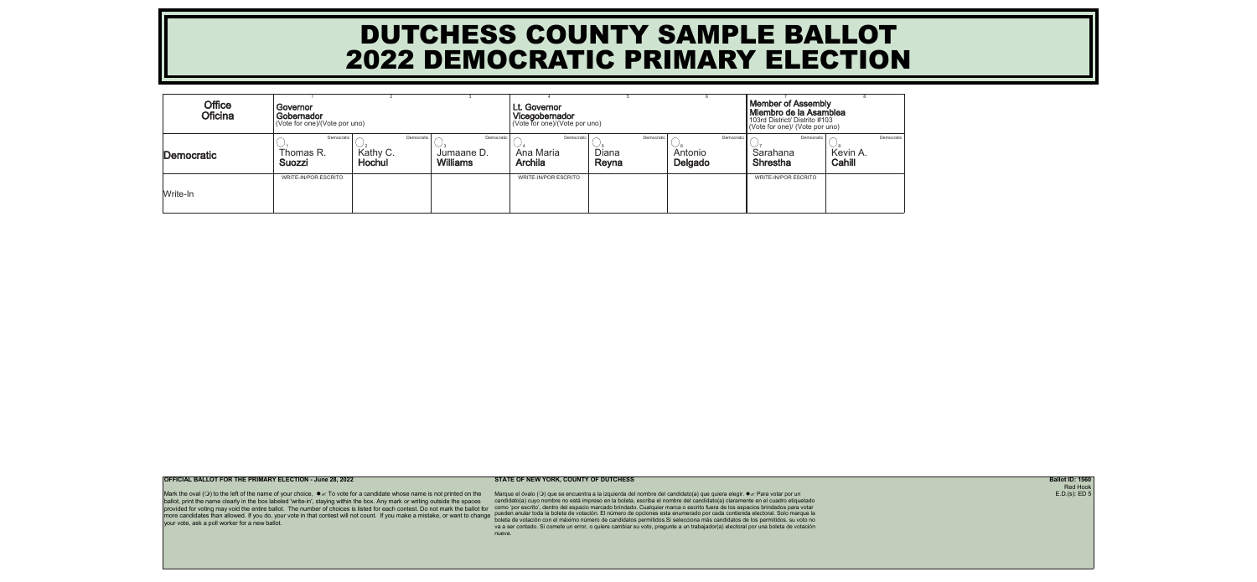| <b>Office</b><br><b>Oficina</b> | Governor<br>Gobernador<br>(Vote for one)/(Vote por uno) |                    |                                                           | <b>Lt. Governor</b><br>Vicegobernador<br>(Vote for one)/(Vote por uno) |                              | <b>Member of Assembly</b><br>Miembro de la Asamblea<br>103rd District/ Distrito #103<br>(Vote for one)/ (Vote por uno) |                                           |                    |            |
|---------------------------------|---------------------------------------------------------|--------------------|-----------------------------------------------------------|------------------------------------------------------------------------|------------------------------|------------------------------------------------------------------------------------------------------------------------|-------------------------------------------|--------------------|------------|
| Democratic                      | Democratic<br>Thomas R.<br><b>Suozzi</b>                | Kathy C.<br>Hochul | Democratic<br>Democratic<br>Jumaane D.<br><b>Williams</b> | Democratic<br>Ana Maria<br><b>Archila</b>                              | Democratio<br>Diana<br>Reyna | Democratic<br>Antonio<br>Delgado                                                                                       | Democratic<br>Sarahana<br><b>Shrestha</b> | Kevin A.<br>Cahill | Democratic |
| Write-In                        | <b>WRITE-IN/POR ESCRITO</b>                             |                    |                                                           | <b>WRITE-IN/POR ESCRITO</b>                                            |                              |                                                                                                                        | <b>WRITE-IN/POR ESCRITO</b>               |                    |            |

Mark the oval ( $\circ$ ) to the left of the name of your choice,  $\bullet \text{K}$  To vote for a candidate whose name is not printed on the ballot, print the name clearly in the box labeled 'write-in', staying within the box. Any mark or writing outside the spaces provided for voting may void the entire ballot. The number of choices is listed for each contest. Do not mark the ballot for more candidates than allowed. If you do, your vote in that contest will not count. If you make a mistake, or want to change pueden anular toda la boleta de votación. El número de opciones esta enumerado por cada contienda your vote, ask a poll worker for a new ballot.

**OFFICIAL BALLOT FOR THE PRIMARY ELECTION - June 28, 2022 STATE OF NEW YORK, COUNTY OF DUTCHESS Ballot ID: 1560**

Marque el óvalo (○) que se encuentra a la izquierda del nombre del candidato(a) que quiera elegir. ● *s* Para votar por un candidato(a) cuyo nombre no está impreso en la boleta, escriba el nombre del candidato(a) claramente en el cuadro etiquetado como 'por escrito', dentro del espacio marcado brindado. Cualquier marca o escrito fuera de los espacios brindados para votar boleta de votación con el máximo número de candidatos permitidos.Si selecciona más candidatos de los permitidos, su voto no va a ser contado. Si comete un error, o quiere cambiar su voto, pregunte a un trabajador(a) electoral por una boleta de votación nueva.

Red Hook E.D.(s): ED 5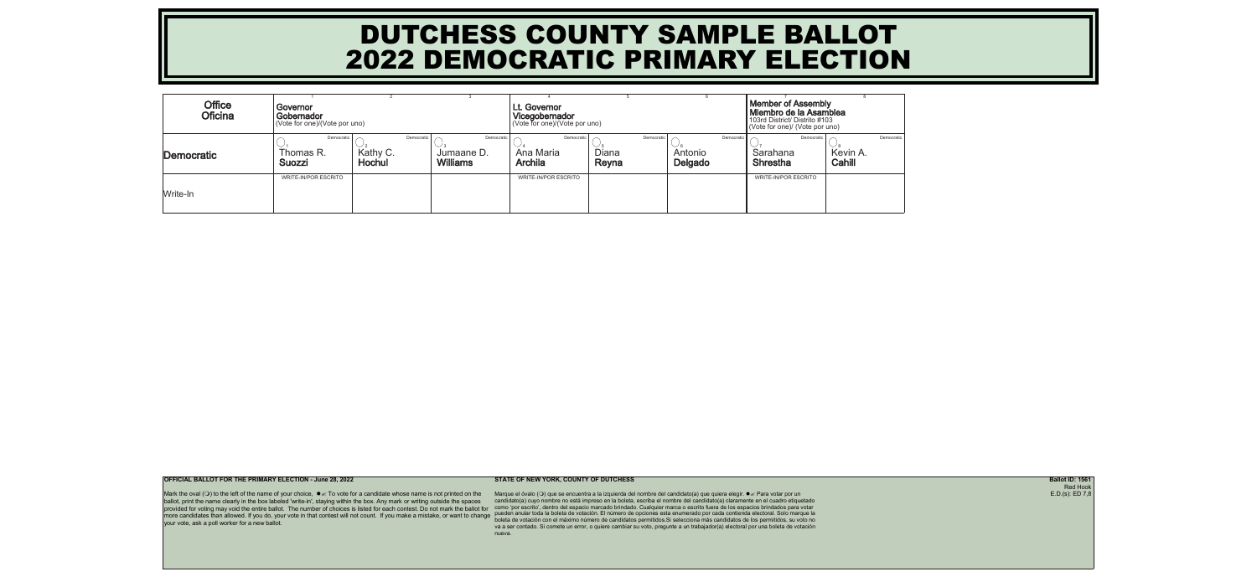| <b>Office</b><br><b>Oficina</b> | Governor<br>Gobernador<br>(Vote for one)/(Vote por uno) |                           |                                                           | Lt. Governor<br>Vicegobernador<br>(Vote for one)/(Vote por uno) |                              | <b>Member of Assembly</b><br>Miembro de la Asamblea<br>103rd District/ Distrito #103<br>(Vote for one)/ (Vote por uno) |                                           |                    |            |
|---------------------------------|---------------------------------------------------------|---------------------------|-----------------------------------------------------------|-----------------------------------------------------------------|------------------------------|------------------------------------------------------------------------------------------------------------------------|-------------------------------------------|--------------------|------------|
| Democratic                      | Democratic<br>Thomas R.<br><b>Suozzi</b>                | Kathy C.<br><b>Hochul</b> | Democratic<br>Democratic<br>Jumaane D.<br><b>Williams</b> | Democratic<br>Ana Maria<br><b>Archila</b>                       | Democratic<br>Diana<br>Reyna | Democratic<br>Antonio<br>Delgado                                                                                       | Democratic<br>Sarahana<br><b>Shrestha</b> | Kevin A.<br>Cahill | Democratic |
| Write-In                        | <b>WRITE-IN/POR ESCRITO</b>                             |                           |                                                           | <b>WRITE-IN/POR ESCRITO</b>                                     |                              |                                                                                                                        | <b>WRITE-IN/POR ESCRITO</b>               |                    |            |

Mark the oval ( $\circ$ ) to the left of the name of your choice,  $\bullet \text{K}$  To vote for a candidate whose name is not printed on the ballot, print the name clearly in the box labeled 'write-in', staying within the box. Any mark or writing outside the spaces provided for voting may void the entire ballot. The number of choices is listed for each contest. Do not mark the ballot for more candidates than allowed. If you do, your vote in that contest will not count. If you make a mistake, or want to change pueden anular toda la boleta de votación. El número de opciones esta enumerado por cada contienda your vote, ask a poll worker for a new ballot.

**OFFICIAL BALLOT FOR THE PRIMARY ELECTION - June 28, 2022 STATE OF NEW YORK, COUNTY OF DUTCHESS Ballot ID: 1561**

Marque el óvalo (○) que se encuentra a la izquierda del nombre del candidato(a) que quiera elegir. ● *s* Para votar por un candidato(a) cuyo nombre no está impreso en la boleta, escriba el nombre del candidato(a) claramente en el cuadro etiquetado como 'por escrito', dentro del espacio marcado brindado. Cualquier marca o escrito fuera de los espacios brindados para votar boleta de votación con el máximo número de candidatos permitidos.Si selecciona más candidatos de los permitidos, su voto no va a ser contado. Si comete un error, o quiere cambiar su voto, pregunte a un trabajador(a) electoral por una boleta de votación nueva.

Red Hook  $E.D.(s): ED 7,8$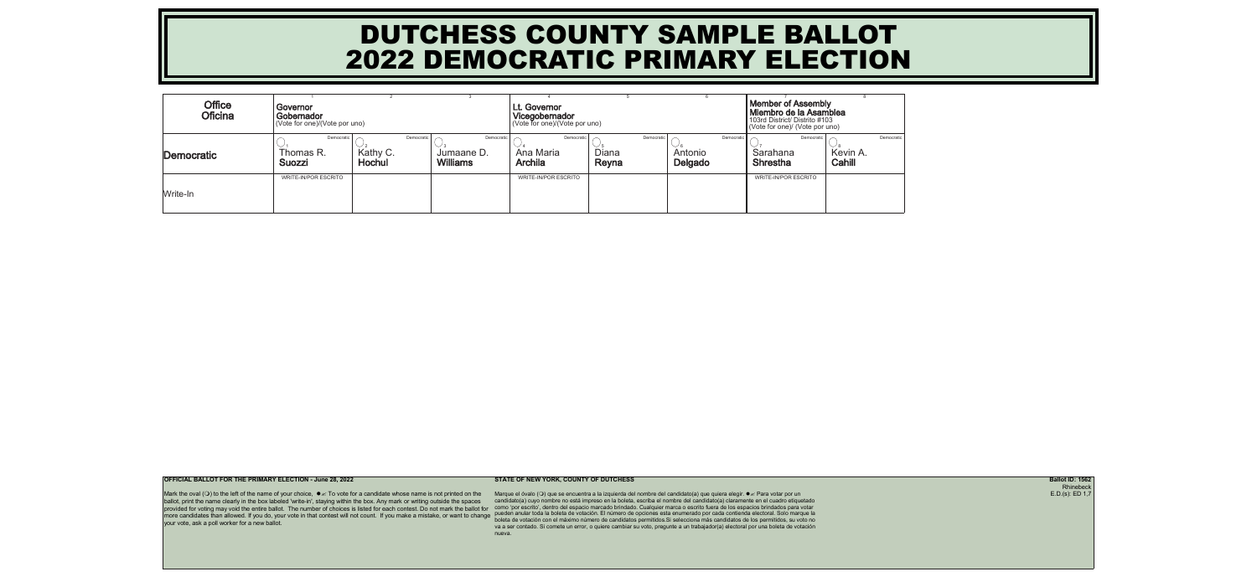| <b>Office</b><br><b>Oficina</b> | Governor<br>Gobernador<br>(Vote for one)/(Vote por uno) |                           |                                                           | Lt. Governor<br>Vicegobernador<br>(Vote for one)/(Vote por uno) |                              | <b>Member of Assembly</b><br>Miembro de la Asamblea<br>103rd District/ Distrito #103<br>(Vote for one)/ (Vote por uno) |                                           |                    |            |
|---------------------------------|---------------------------------------------------------|---------------------------|-----------------------------------------------------------|-----------------------------------------------------------------|------------------------------|------------------------------------------------------------------------------------------------------------------------|-------------------------------------------|--------------------|------------|
| Democratic                      | Democratic<br>Thomas R.<br><b>Suozzi</b>                | Kathy C.<br><b>Hochul</b> | Democratic<br>Democratic<br>Jumaane D.<br><b>Williams</b> | Democratic<br>Ana Maria<br><b>Archila</b>                       | Democratic<br>Diana<br>Reyna | Democratic<br>Antonio<br>Delgado                                                                                       | Democratic<br>Sarahana<br><b>Shrestha</b> | Kevin A.<br>Cahill | Democratic |
| Write-In                        | <b>WRITE-IN/POR ESCRITO</b>                             |                           |                                                           | <b>WRITE-IN/POR ESCRITO</b>                                     |                              |                                                                                                                        | <b>WRITE-IN/POR ESCRITO</b>               |                    |            |

Mark the oval ( $\circ$ ) to the left of the name of your choice,  $\bullet \text{K}$  To vote for a candidate whose name is not printed on the ballot, print the name clearly in the box labeled 'write-in', staying within the box. Any mark or writing outside the spaces provided for voting may void the entire ballot. The number of choices is listed for each contest. Do not mark the ballot for more candidates than allowed. If you do, your vote in that contest will not count. If you make a mistake, or want to change pueden anular toda la boleta de votación. El número de opciones esta enumerado por cada contienda your vote, ask a poll worker for a new ballot.

**OFFICIAL BALLOT FOR THE PRIMARY ELECTION - June 28, 2022 STATE OF NEW YORK, COUNTY OF DUTCHESS Ballot ID: 1562**

Marque el óvalo (○) que se encuentra a la izquierda del nombre del candidato(a) que quiera elegir. ● *s* Para votar por un candidato(a) cuyo nombre no está impreso en la boleta, escriba el nombre del candidato(a) claramente en el cuadro etiquetado como 'por escrito', dentro del espacio marcado brindado. Cualquier marca o escrito fuera de los espacios brindados para votar boleta de votación con el máximo número de candidatos permitidos.Si selecciona más candidatos de los permitidos, su voto no va a ser contado. Si comete un error, o quiere cambiar su voto, pregunte a un trabajador(a) electoral por una boleta de votación nueva.

Rhinebeck  $E.D.(s): ED 1,7$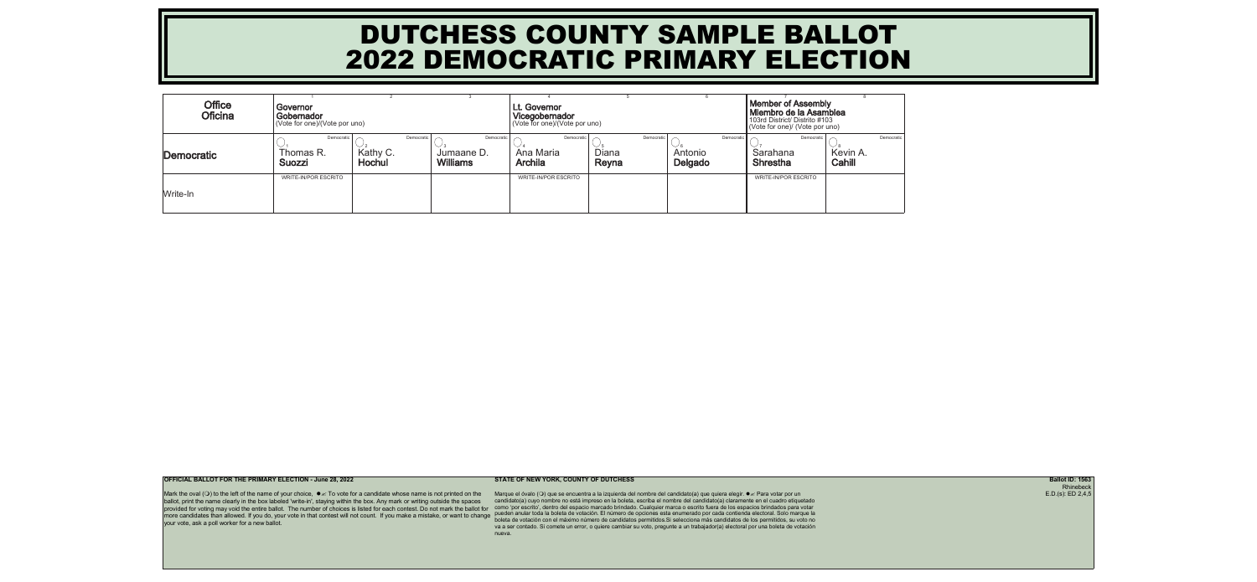| <b>Office</b><br><b>Oficina</b> | Governor<br>Gobernador<br>(Vote for one)/(Vote por uno) |                    |                                                           | <b>Lt. Governor</b><br>Vicegobernador<br>(Vote for one)/(Vote por uno) |                              | <b>Member of Assembly</b><br>Miembro de la Asamblea<br>103rd District/ Distrito #103<br>(Vote for one)/ (Vote por uno) |                                           |                    |            |
|---------------------------------|---------------------------------------------------------|--------------------|-----------------------------------------------------------|------------------------------------------------------------------------|------------------------------|------------------------------------------------------------------------------------------------------------------------|-------------------------------------------|--------------------|------------|
| Democratic                      | Democratic<br>Thomas R.<br><b>Suozzi</b>                | Kathy C.<br>Hochul | Democratic<br>Democratic<br>Jumaane D.<br><b>Williams</b> | Democratic<br>Ana Maria<br><b>Archila</b>                              | Democratio<br>Diana<br>Reyna | Democratic<br>Antonio<br>Delgado                                                                                       | Democratic<br>Sarahana<br><b>Shrestha</b> | Kevin A.<br>Cahill | Democratic |
| Write-In                        | <b>WRITE-IN/POR ESCRITO</b>                             |                    |                                                           | <b>WRITE-IN/POR ESCRITO</b>                                            |                              |                                                                                                                        | <b>WRITE-IN/POR ESCRITO</b>               |                    |            |

Mark the oval ( $\circ$ ) to the left of the name of your choice,  $\bullet \text{K}$  To vote for a candidate whose name is not printed on the ballot, print the name clearly in the box labeled 'write-in', staying within the box. Any mark or writing outside the spaces provided for voting may void the entire ballot. The number of choices is listed for each contest. Do not mark the ballot for more candidates than allowed. If you do, your vote in that contest will not count. If you make a mistake, or want to change pueden anular toda la boleta de votación. El número de opciones esta enumerado por cada contienda your vote, ask a poll worker for a new ballot.

**OFFICIAL BALLOT FOR THE PRIMARY ELECTION - June 28, 2022 STATE OF NEW YORK, COUNTY OF DUTCHESS Ballot ID: 1563**

Marque el óvalo (○) que se encuentra a la izquierda del nombre del candidato(a) que quiera elegir. ● *s* Para votar por un candidato(a) cuyo nombre no está impreso en la boleta, escriba el nombre del candidato(a) claramente en el cuadro etiquetado como 'por escrito', dentro del espacio marcado brindado. Cualquier marca o escrito fuera de los espacios brindados para votar boleta de votación con el máximo número de candidatos permitidos.Si selecciona más candidatos de los permitidos, su voto no va a ser contado. Si comete un error, o quiere cambiar su voto, pregunte a un trabajador(a) electoral por una boleta de votación nueva.

Rhinebeck E.D.(s): ED 2,4,5